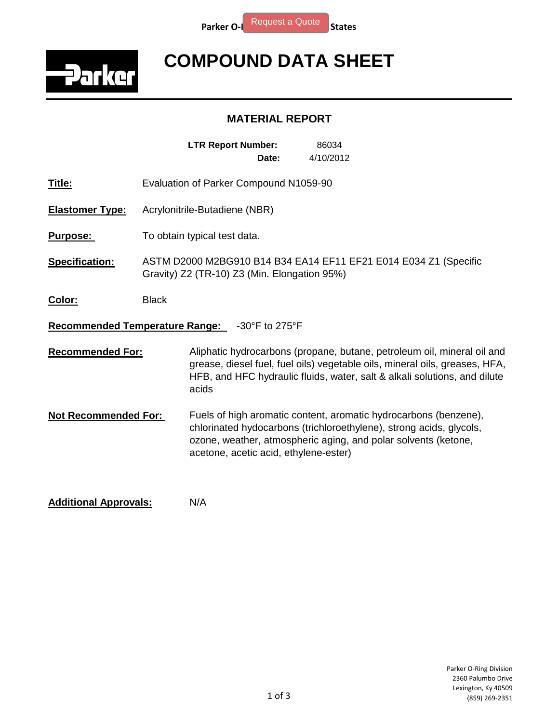

## **COMPOUND DATA SHEET**

## **MATERIAL REPORT**

|                                |                                                                                                                  | <b>LTR Report Number:</b>             | Date:          | 86034<br>4/10/2012                                                                                                                                                                                                                  |  |
|--------------------------------|------------------------------------------------------------------------------------------------------------------|---------------------------------------|----------------|-------------------------------------------------------------------------------------------------------------------------------------------------------------------------------------------------------------------------------------|--|
| Title:                         | Evaluation of Parker Compound N1059-90                                                                           |                                       |                |                                                                                                                                                                                                                                     |  |
| Elastomer Type:                | Acrylonitrile-Butadiene (NBR)                                                                                    |                                       |                |                                                                                                                                                                                                                                     |  |
| <b>Purpose:</b>                | To obtain typical test data.                                                                                     |                                       |                |                                                                                                                                                                                                                                     |  |
| <b>Specification:</b>          | ASTM D2000 M2BG910 B14 B34 EA14 EF11 EF21 E014 E034 Z1 (Specific<br>Gravity) Z2 (TR-10) Z3 (Min. Elongation 95%) |                                       |                |                                                                                                                                                                                                                                     |  |
| <u>Color:</u>                  | <b>Black</b>                                                                                                     |                                       |                |                                                                                                                                                                                                                                     |  |
| Recommended Temperature Range: |                                                                                                                  |                                       | -30°F to 275°F |                                                                                                                                                                                                                                     |  |
| <b>Recommended For:</b>        |                                                                                                                  | acids                                 |                | Aliphatic hydrocarbons (propane, butane, petroleum oil, mineral oil and<br>grease, diesel fuel, fuel oils) vegetable oils, mineral oils, greases, HFA,<br>HFB, and HFC hydraulic fluids, water, salt & alkali solutions, and dilute |  |
| Not Recommended For:           |                                                                                                                  | acetone, acetic acid, ethylene-ester) |                | Fuels of high aromatic content, aromatic hydrocarbons (benzene),<br>chlorinated hydocarbons (trichloroethylene), strong acids, glycols,<br>ozone, weather, atmospheric aging, and polar solvents (ketone,                           |  |
|                                |                                                                                                                  |                                       |                |                                                                                                                                                                                                                                     |  |

**Additional Approvals:** N/A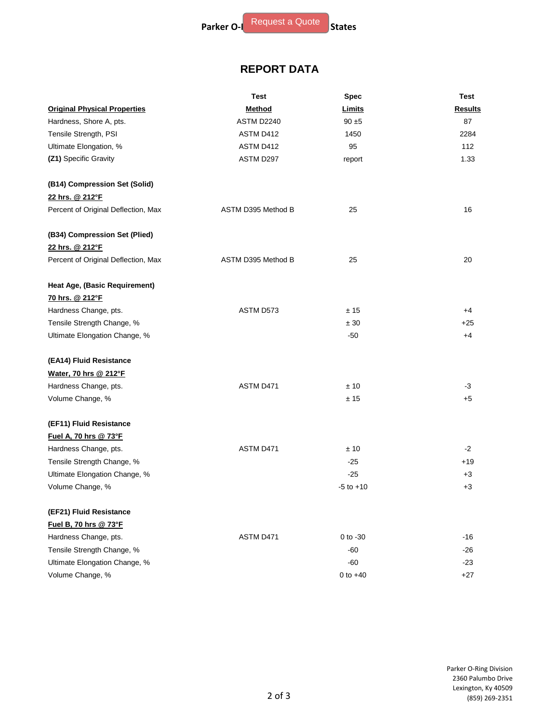## **REPORT DATA**

|                                     | Test               | <b>Spec</b>   | Test           |
|-------------------------------------|--------------------|---------------|----------------|
| <b>Original Physical Properties</b> | <b>Method</b>      | Limits        | <b>Results</b> |
| Hardness, Shore A, pts.             | ASTM D2240         | $90 \pm 5$    | 87             |
| Tensile Strength, PSI               | ASTM D412          | 1450          | 2284           |
| Ultimate Elongation, %              | ASTM D412          | 95            | 112            |
| (Z1) Specific Gravity               | ASTM D297          | report        | 1.33           |
| (B14) Compression Set (Solid)       |                    |               |                |
| 22 hrs. @ 212°F                     |                    |               |                |
| Percent of Original Deflection, Max | ASTM D395 Method B | 25            | 16             |
| (B34) Compression Set (Plied)       |                    |               |                |
| 22 hrs. @ 212°F                     |                    |               |                |
| Percent of Original Deflection, Max | ASTM D395 Method B | 25            | 20             |
| Heat Age, (Basic Requirement)       |                    |               |                |
| 70 hrs. @ 212°F                     |                    |               |                |
| Hardness Change, pts.               | ASTM D573          | ±15           | $+4$           |
| Tensile Strength Change, %          |                    | ± 30          | $+25$          |
| Ultimate Elongation Change, %       |                    | -50           | $+4$           |
| (EA14) Fluid Resistance             |                    |               |                |
| Water, 70 hrs @ 212°F               |                    |               |                |
| Hardness Change, pts.               | ASTM D471          | ±10           | $-3$           |
| Volume Change, %                    |                    | ± 15          | $+5$           |
| (EF11) Fluid Resistance             |                    |               |                |
| Fuel A, 70 hrs @ 73°F               |                    |               |                |
| Hardness Change, pts.               | ASTM D471          | ±10           | $-2$           |
| Tensile Strength Change, %          |                    | $-25$         | $+19$          |
| Ultimate Elongation Change, %       |                    | $-25$         | $+3$           |
| Volume Change, %                    |                    | $-5$ to $+10$ | +3             |
| (EF21) Fluid Resistance             |                    |               |                |
| Fuel B, 70 hrs @ 73°F               |                    |               |                |
| Hardness Change, pts.               | ASTM D471          | $0$ to $-30$  | -16            |
| Tensile Strength Change, %          |                    | $-60$         | $-26$          |
| Ultimate Elongation Change, %       |                    | $-60$         | $-23$          |
| Volume Change, %                    |                    | $0$ to $+40$  | $+27$          |